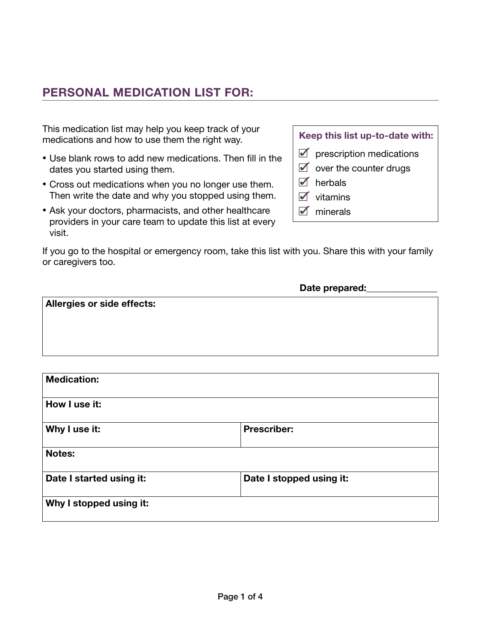This medication list may help you keep track of your medications and how to use them the right way.

- Use blank rows to add new medications. Then fill in the dates you started using them.
- Cross out medications when you no longer use them. Then write the date and why you stopped using them.
- Ask your doctors, pharmacists, and other healthcare providers in your care team to update this list at every visit.

If you go to the hospital or emergency room, take this list with you. Share this with your family or caregivers too.

|  | Keep this list up-to-date with: |
|--|---------------------------------|
|--|---------------------------------|

- $\blacksquare$  prescription medications
- $\blacksquare$  over the counter drugs
- $\sqrt{\phantom{a}}$  herbals
- $\sqrt{\phantom{a}}$  vitamins
- $\sqrt{\phantom{a}}$  minerals

| Date prepared: |  |  |
|----------------|--|--|
|                |  |  |
|                |  |  |
|                |  |  |
|                |  |  |
|                |  |  |
|                |  |  |

| <b>Medication:</b>       |                          |
|--------------------------|--------------------------|
| How I use it:            |                          |
| Why I use it:            | <b>Prescriber:</b>       |
| <b>Notes:</b>            |                          |
| Date I started using it: | Date I stopped using it: |
| Why I stopped using it:  |                          |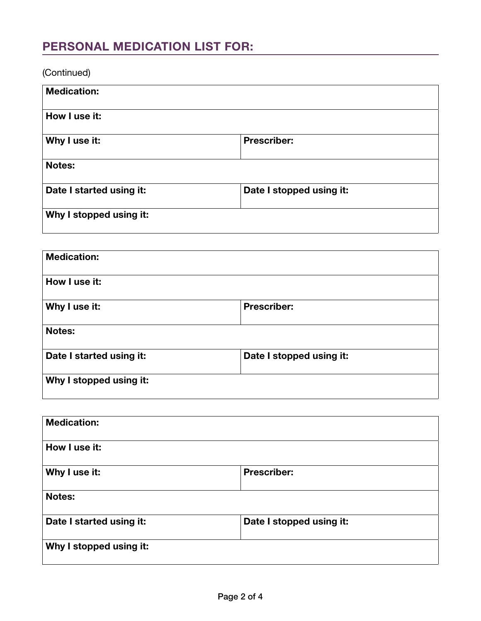(Continued)

| <b>Medication:</b>       |                          |
|--------------------------|--------------------------|
| How I use it:            |                          |
| Why I use it:            | <b>Prescriber:</b>       |
| <b>Notes:</b>            |                          |
| Date I started using it: | Date I stopped using it: |
| Why I stopped using it:  |                          |

| <b>Medication:</b>       |                          |
|--------------------------|--------------------------|
| How I use it:            |                          |
| Why I use it:            | <b>Prescriber:</b>       |
| <b>Notes:</b>            |                          |
| Date I started using it: | Date I stopped using it: |
| Why I stopped using it:  |                          |

| <b>Medication:</b>       |                          |
|--------------------------|--------------------------|
| How I use it:            |                          |
| Why I use it:            | <b>Prescriber:</b>       |
| <b>Notes:</b>            |                          |
| Date I started using it: | Date I stopped using it: |
| Why I stopped using it:  |                          |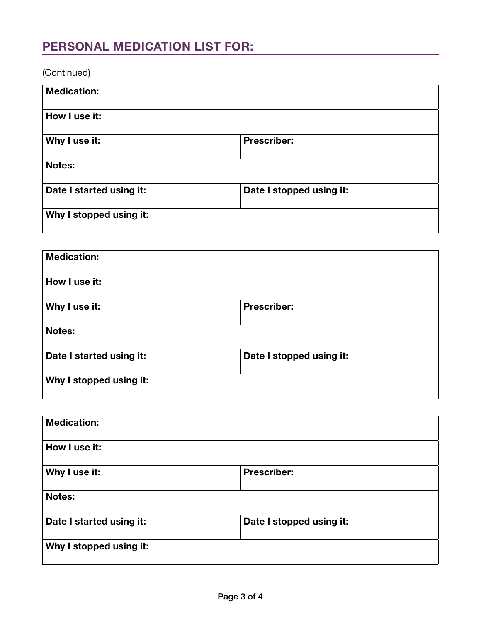(Continued)

| <b>Medication:</b>       |                          |
|--------------------------|--------------------------|
| How I use it:            |                          |
| Why I use it:            | <b>Prescriber:</b>       |
| <b>Notes:</b>            |                          |
| Date I started using it: | Date I stopped using it: |
| Why I stopped using it:  |                          |

| <b>Medication:</b>       |                          |
|--------------------------|--------------------------|
| How I use it:            |                          |
| Why I use it:            | <b>Prescriber:</b>       |
| <b>Notes:</b>            |                          |
| Date I started using it: | Date I stopped using it: |
| Why I stopped using it:  |                          |

| <b>Medication:</b>       |                          |
|--------------------------|--------------------------|
| How I use it:            |                          |
| Why I use it:            | <b>Prescriber:</b>       |
| <b>Notes:</b>            |                          |
| Date I started using it: | Date I stopped using it: |
| Why I stopped using it:  |                          |